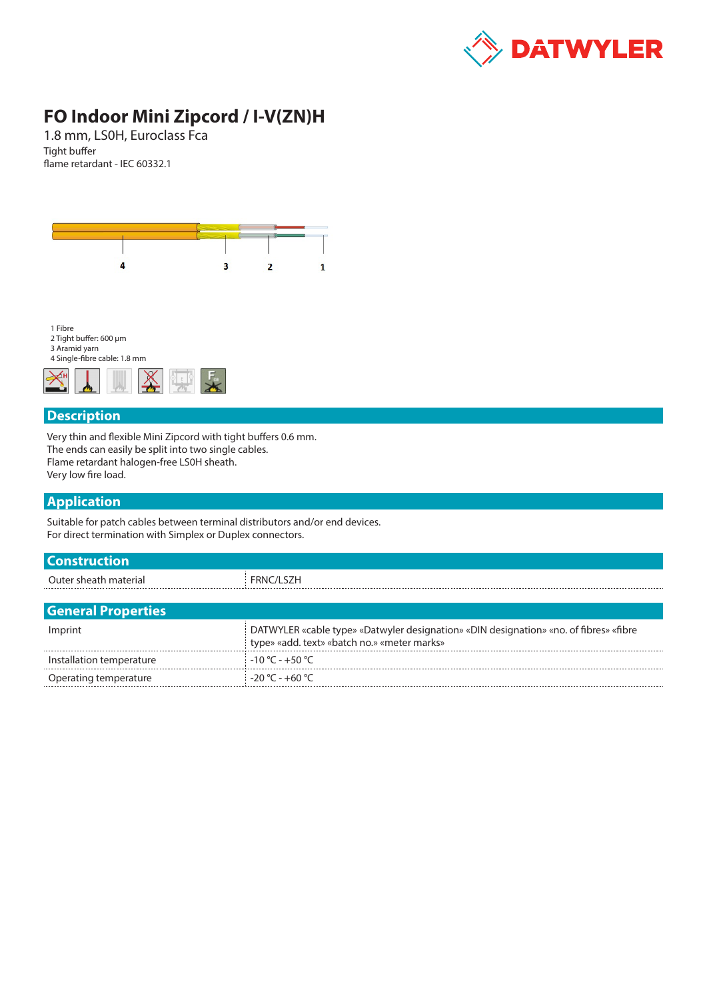

# **FO Indoor Mini Zipcord / I-V(ZN)H**

1.8 mm, LS0H, Euroclass Fca Tight buffer flame retardant - IEC 60332.1



#### **Description**

Very thin and flexible Mini Zipcord with tight buffers 0.6 mm. The ends can easily be split into two single cables. Flame retardant halogen-free LS0H sheath. Very low fire load.

#### **Application**

Suitable for patch cables between terminal distributors and/or end devices. For direct termination with Simplex or Duplex connectors.

| <b>Construction</b>       |                                                                                       |
|---------------------------|---------------------------------------------------------------------------------------|
| Outer sheath material     | FRNC/LSZH                                                                             |
|                           |                                                                                       |
| <b>General Properties</b> |                                                                                       |
| Imprint                   | DATWYLER «cable type» «Datwyler designation» «DIN designation» «no. of fibres» «fibre |

|                          | type» «add. text» «batch no.» «meter marks» |
|--------------------------|---------------------------------------------|
| Installation temperature | $-10 °C - +50 °C$                           |
| Operating temperature    |                                             |